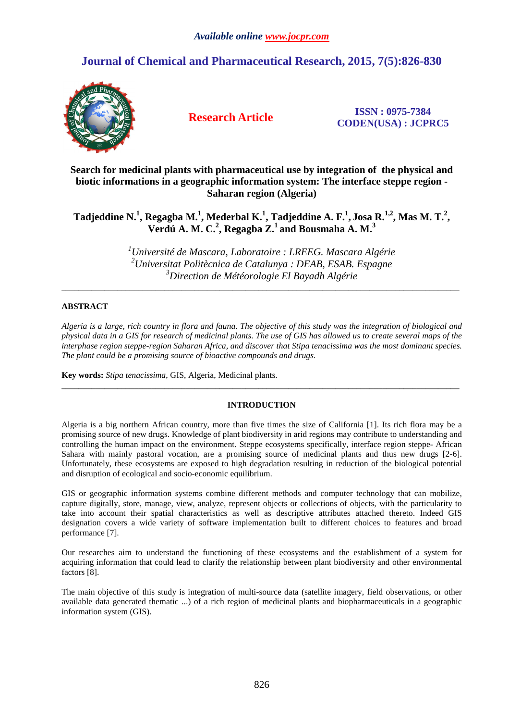# **Journal of Chemical and Pharmaceutical Research, 2015, 7(5):826-830**



**Research Article ISSN : 0975-7384 CODEN(USA) : JCPRC5**

**Search for medicinal plants with pharmaceutical use by integration of the physical and biotic informations in a geographic information system: The interface steppe region - Saharan region (Algeria)** 

# **Tadjeddine N.<sup>1</sup> , Regagba M.<sup>1</sup> , Mederbal K.<sup>1</sup> , Tadjeddine A. F.<sup>1</sup> , Josa R.1,2, Mas M. T.<sup>2</sup> , Verdú A. M. C.<sup>2</sup> , Regagba Z.<sup>1</sup>and Bousmaha A. M.<sup>3</sup>**

*<sup>1</sup>Université de Mascara, Laboratoire : LREEG. Mascara Algérie <sup>2</sup>Universitat Politècnica de Catalunya : DEAB, ESAB. Espagne <sup>3</sup>Direction de Météorologie El Bayadh Algérie* 

\_\_\_\_\_\_\_\_\_\_\_\_\_\_\_\_\_\_\_\_\_\_\_\_\_\_\_\_\_\_\_\_\_\_\_\_\_\_\_\_\_\_\_\_\_\_\_\_\_\_\_\_\_\_\_\_\_\_\_\_\_\_\_\_\_\_\_\_\_\_\_\_\_\_\_\_\_\_\_\_\_\_\_\_\_\_\_\_\_\_\_\_\_

## **ABSTRACT**

*Algeria is a large, rich country in flora and fauna. The objective of this study was the integration of biological and physical data in a GIS for research of medicinal plants. The use of GIS has allowed us to create several maps of the interphase region steppe-region Saharan Africa, and discover that Stipa tenacissima was the most dominant species. The plant could be a promising source of bioactive compounds and drugs.* 

**Key words:** *Stipa tenacissima*, GIS, Algeria, Medicinal plants.

### **INTRODUCTION**

 $\overline{a}$  , and the contribution of the contribution of the contribution of the contribution of the contribution of the contribution of the contribution of the contribution of the contribution of the contribution of the co

Algeria is a big northern African country, more than five times the size of California [1]. Its rich flora may be a promising source of new drugs. Knowledge of plant biodiversity in arid regions may contribute to understanding and controlling the human impact on the environment. Steppe ecosystems specifically, interface region steppe- African Sahara with mainly pastoral vocation, are a promising source of medicinal plants and thus new drugs [2-6]. Unfortunately, these ecosystems are exposed to high degradation resulting in reduction of the biological potential and disruption of ecological and socio-economic equilibrium.

GIS or geographic information systems combine different methods and computer technology that can mobilize, capture digitally, store, manage, view, analyze, represent objects or collections of objects, with the particularity to take into account their spatial characteristics as well as descriptive attributes attached thereto. Indeed GIS designation covers a wide variety of software implementation built to different choices to features and broad performance [7].

Our researches aim to understand the functioning of these ecosystems and the establishment of a system for acquiring information that could lead to clarify the relationship between plant biodiversity and other environmental factors [8].

The main objective of this study is integration of multi-source data (satellite imagery, field observations, or other available data generated thematic ...) of a rich region of medicinal plants and biopharmaceuticals in a geographic information system (GIS).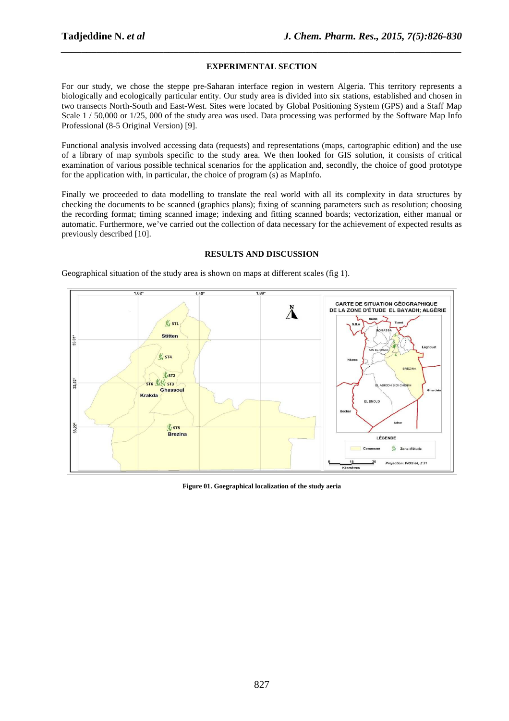#### **EXPERIMENTAL SECTION**

*\_\_\_\_\_\_\_\_\_\_\_\_\_\_\_\_\_\_\_\_\_\_\_\_\_\_\_\_\_\_\_\_\_\_\_\_\_\_\_\_\_\_\_\_\_\_\_\_\_\_\_\_\_\_\_\_\_\_\_\_\_\_\_\_\_\_\_\_\_\_\_\_\_\_\_\_\_\_*

For our study, we chose the steppe pre-Saharan interface region in western Algeria. This territory represents a biologically and ecologically particular entity. Our study area is divided into six stations, established and chosen in two transects North-South and East-West. Sites were located by Global Positioning System (GPS) and a Staff Map Scale  $1/50,000$  or  $1/25,000$  of the study area was used. Data processing was performed by the Software Map Info Professional (8-5 Original Version) [9].

Functional analysis involved accessing data (requests) and representations (maps, cartographic edition) and the use of a library of map symbols specific to the study area. We then looked for GIS solution, it consists of critical examination of various possible technical scenarios for the application and, secondly, the choice of good prototype for the application with, in particular, the choice of program (s) as MapInfo.

Finally we proceeded to data modelling to translate the real world with all its complexity in data structures by checking the documents to be scanned (graphics plans); fixing of scanning parameters such as resolution; choosing the recording format; timing scanned image; indexing and fitting scanned boards; vectorization, either manual or automatic. Furthermore, we've carried out the collection of data necessary for the achievement of expected results as previously described [10].

### **RESULTS AND DISCUSSION**



Geographical situation of the study area is shown on maps at different scales (fig 1).

**Figure 01. Goegraphical localization of the study aeria**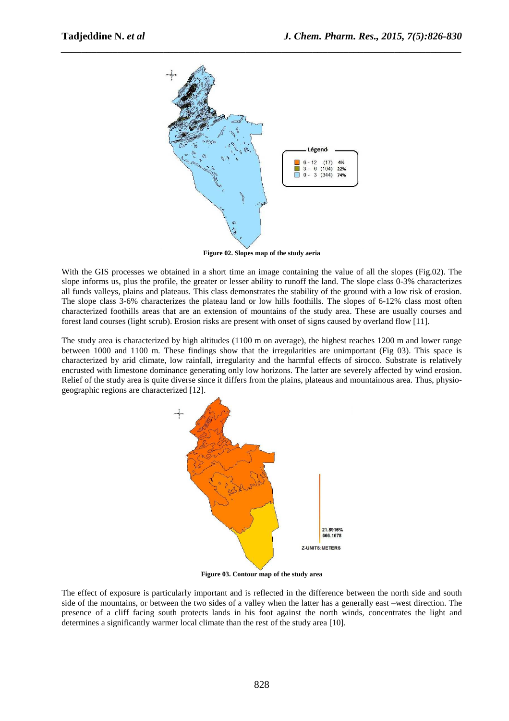

*\_\_\_\_\_\_\_\_\_\_\_\_\_\_\_\_\_\_\_\_\_\_\_\_\_\_\_\_\_\_\_\_\_\_\_\_\_\_\_\_\_\_\_\_\_\_\_\_\_\_\_\_\_\_\_\_\_\_\_\_\_\_\_\_\_\_\_\_\_\_\_\_\_\_\_\_\_\_*

**Figure 02. Slopes map of the study aeria** 

With the GIS processes we obtained in a short time an image containing the value of all the slopes (Fig.02). The slope informs us, plus the profile, the greater or lesser ability to runoff the land. The slope class 0-3% characterizes all funds valleys, plains and plateaus. This class demonstrates the stability of the ground with a low risk of erosion. The slope class 3-6% characterizes the plateau land or low hills foothills. The slopes of 6-12% class most often characterized foothills areas that are an extension of mountains of the study area. These are usually courses and forest land courses (light scrub). Erosion risks are present with onset of signs caused by overland flow [11].

The study area is characterized by high altitudes (1100 m on average), the highest reaches 1200 m and lower range between 1000 and 1100 m. These findings show that the irregularities are unimportant (Fig 03). This space is characterized by arid climate, low rainfall, irregularity and the harmful effects of sirocco. Substrate is relatively encrusted with limestone dominance generating only low horizons. The latter are severely affected by wind erosion. Relief of the study area is quite diverse since it differs from the plains, plateaus and mountainous area. Thus, physiogeographic regions are characterized [12].



**Figure 03. Contour map of the study area** 

The effect of exposure is particularly important and is reflected in the difference between the north side and south side of the mountains, or between the two sides of a valley when the latter has a generally east –west direction. The presence of a cliff facing south protects lands in his foot against the north winds, concentrates the light and determines a significantly warmer local climate than the rest of the study area [10].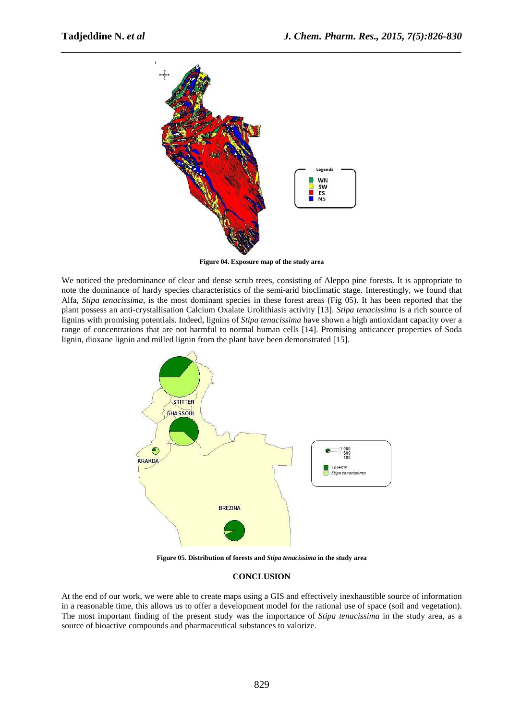

*\_\_\_\_\_\_\_\_\_\_\_\_\_\_\_\_\_\_\_\_\_\_\_\_\_\_\_\_\_\_\_\_\_\_\_\_\_\_\_\_\_\_\_\_\_\_\_\_\_\_\_\_\_\_\_\_\_\_\_\_\_\_\_\_\_\_\_\_\_\_\_\_\_\_\_\_\_\_*

**Figure 04. Exposure map of the study area** 

We noticed the predominance of clear and dense scrub trees, consisting of Aleppo pine forests. It is appropriate to note the dominance of hardy species characteristics of the semi-arid bioclimatic stage. Interestingly, we found that Alfa, *Stipa tenacissima*, is the most dominant species in these forest areas (Fig 05). It has been reported that the plant possess an anti-crystallisation Calcium Oxalate Urolithiasis activity [13]. *Stipa tenacissima* is a rich source of lignins with promising potentials. Indeed, lignins of *Stipa tenacissima* have shown a high antioxidant capacity over a range of concentrations that are not harmful to normal human cells [14]. Promising anticancer properties of Soda lignin, dioxane lignin and milled lignin from the plant have been demonstrated [15].



**Figure 05. Distribution of forests and** *Stipa tenacissima* **in the study area** 

#### **CONCLUSION**

At the end of our work, we were able to create maps using a GIS and effectively inexhaustible source of information in a reasonable time, this allows us to offer a development model for the rational use of space (soil and vegetation). The most important finding of the present study was the importance of *Stipa tenacissima* in the study area, as a source of bioactive compounds and pharmaceutical substances to valorize.